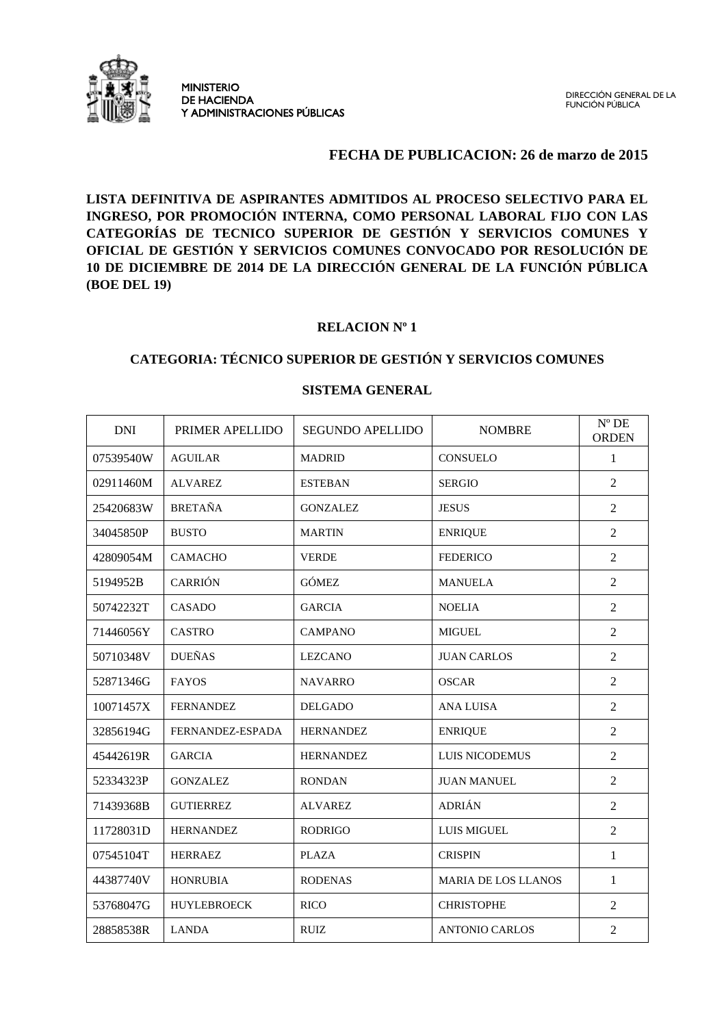

#### **FECHA DE PUBLICACION: 26 de marzo de 2015**

**LISTA DEFINITIVA DE ASPIRANTES ADMITIDOS AL PROCESO SELECTIVO PARA EL INGRESO, POR PROMOCIÓN INTERNA, COMO PERSONAL LABORAL FIJO CON LAS CATEGORÍAS DE TECNICO SUPERIOR DE GESTIÓN Y SERVICIOS COMUNES Y OFICIAL DE GESTIÓN Y SERVICIOS COMUNES CONVOCADO POR RESOLUCIÓN DE 10 DE DICIEMBRE DE 2014 DE LA DIRECCIÓN GENERAL DE LA FUNCIÓN PÚBLICA (BOE DEL 19)** 

## **RELACION Nº 1**

## **CATEGORIA: TÉCNICO SUPERIOR DE GESTIÓN Y SERVICIOS COMUNES**

| <b>DNI</b> | PRIMER APELLIDO    | <b>SEGUNDO APELLIDO</b> | <b>NOMBRE</b>              | $N^{\circ}$ DE<br><b>ORDEN</b> |
|------------|--------------------|-------------------------|----------------------------|--------------------------------|
| 07539540W  | <b>AGUILAR</b>     | <b>MADRID</b>           | <b>CONSUELO</b>            | 1                              |
| 02911460M  | <b>ALVAREZ</b>     | <b>ESTEBAN</b>          | <b>SERGIO</b>              | $\overline{2}$                 |
| 25420683W  | <b>BRETAÑA</b>     | <b>GONZALEZ</b>         | <b>JESUS</b>               | $\overline{2}$                 |
| 34045850P  | <b>BUSTO</b>       | <b>MARTIN</b>           | <b>ENRIQUE</b>             | $\overline{c}$                 |
| 42809054M  | <b>CAMACHO</b>     | <b>VERDE</b>            | <b>FEDERICO</b>            | $\overline{2}$                 |
| 5194952B   | <b>CARRIÓN</b>     | <b>GÓMEZ</b>            | <b>MANUELA</b>             | $\overline{2}$                 |
| 50742232T  | <b>CASADO</b>      | <b>GARCIA</b>           | <b>NOELIA</b>              | $\overline{2}$                 |
| 71446056Y  | <b>CASTRO</b>      | <b>CAMPANO</b>          | <b>MIGUEL</b>              | $\overline{c}$                 |
| 50710348V  | <b>DUEÑAS</b>      | <b>LEZCANO</b>          | <b>JUAN CARLOS</b>         | $\mathbf{2}$                   |
| 52871346G  | <b>FAYOS</b>       | <b>NAVARRO</b>          | <b>OSCAR</b>               | $\overline{2}$                 |
| 10071457X  | <b>FERNANDEZ</b>   | <b>DELGADO</b>          | <b>ANA LUISA</b>           | $\overline{2}$                 |
| 32856194G  | FERNANDEZ-ESPADA   | <b>HERNANDEZ</b>        | <b>ENRIQUE</b>             | $\overline{2}$                 |
| 45442619R  | <b>GARCIA</b>      | <b>HERNANDEZ</b>        | LUIS NICODEMUS             | $\overline{2}$                 |
| 52334323P  | <b>GONZALEZ</b>    | <b>RONDAN</b>           | <b>JUAN MANUEL</b>         | $\overline{2}$                 |
| 71439368B  | <b>GUTIERREZ</b>   | <b>ALVAREZ</b>          | <b>ADRIÁN</b>              | $\overline{2}$                 |
| 11728031D  | <b>HERNANDEZ</b>   | <b>RODRIGO</b>          | <b>LUIS MIGUEL</b>         | $\overline{2}$                 |
| 07545104T  | <b>HERRAEZ</b>     | <b>PLAZA</b>            | <b>CRISPIN</b>             | $\mathbf{1}$                   |
| 44387740V  | <b>HONRUBIA</b>    | <b>RODENAS</b>          | <b>MARIA DE LOS LLANOS</b> | 1                              |
| 53768047G  | <b>HUYLEBROECK</b> | <b>RICO</b>             | <b>CHRISTOPHE</b>          | $\overline{2}$                 |
| 28858538R  | <b>LANDA</b>       | <b>RUIZ</b>             | <b>ANTONIO CARLOS</b>      | $\overline{2}$                 |

#### **SISTEMA GENERAL**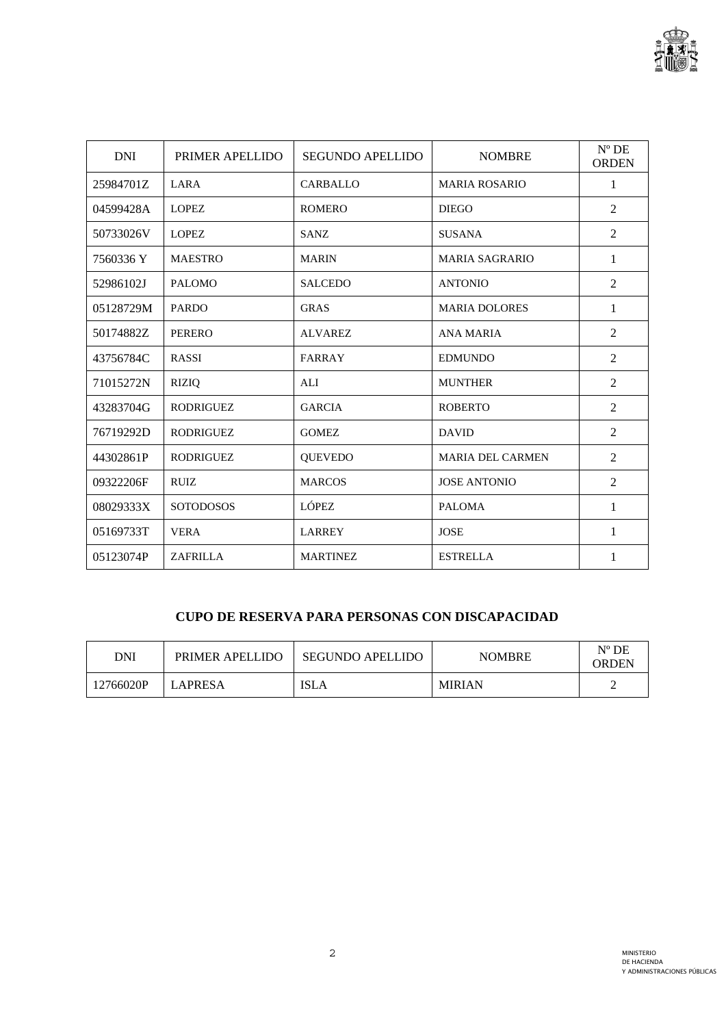

| <b>DNI</b> | PRIMER APELLIDO  | <b>SEGUNDO APELLIDO</b> | <b>NOMBRE</b>           | $N^{\circ}$ DE<br><b>ORDEN</b> |
|------------|------------------|-------------------------|-------------------------|--------------------------------|
| 25984701Z  | LARA             | <b>CARBALLO</b>         | <b>MARIA ROSARIO</b>    | 1                              |
| 04599428A  | <b>LOPEZ</b>     | <b>ROMERO</b>           | <b>DIEGO</b>            | $\overline{2}$                 |
| 50733026V  | <b>LOPEZ</b>     | <b>SANZ</b>             | <b>SUSANA</b>           | $\overline{2}$                 |
| 7560336 Y  | <b>MAESTRO</b>   | <b>MARIN</b>            | <b>MARIA SAGRARIO</b>   | 1                              |
| 52986102J  | <b>PALOMO</b>    | <b>SALCEDO</b>          | <b>ANTONIO</b>          | $\overline{2}$                 |
| 05128729M  | <b>PARDO</b>     | <b>GRAS</b>             | <b>MARIA DOLORES</b>    | 1                              |
| 50174882Z  | <b>PERERO</b>    | <b>ALVAREZ</b>          | <b>ANA MARIA</b>        | $\overline{2}$                 |
| 43756784C  | <b>RASSI</b>     | FARRAY                  | <b>EDMUNDO</b>          | $\overline{2}$                 |
| 71015272N  | <b>RIZIQ</b>     | ALI                     | <b>MUNTHER</b>          | $\overline{2}$                 |
| 43283704G  | <b>RODRIGUEZ</b> | <b>GARCIA</b>           | <b>ROBERTO</b>          | 2                              |
| 76719292D  | <b>RODRIGUEZ</b> | <b>GOMEZ</b>            | <b>DAVID</b>            | $\overline{2}$                 |
| 44302861P  | <b>RODRIGUEZ</b> | <b>QUEVEDO</b>          | <b>MARIA DEL CARMEN</b> | 2                              |
| 09322206F  | <b>RUIZ</b>      | <b>MARCOS</b>           | <b>JOSE ANTONIO</b>     | $\overline{2}$                 |
| 08029333X  | <b>SOTODOSOS</b> | <b>LÓPEZ</b>            | <b>PALOMA</b>           | 1                              |
| 05169733T  | <b>VERA</b>      | <b>LARREY</b>           | <b>JOSE</b>             | 1                              |
| 05123074P  | <b>ZAFRILLA</b>  | <b>MARTINEZ</b>         | <b>ESTRELLA</b>         | 1                              |

# **CUPO DE RESERVA PARA PERSONAS CON DISCAPACIDAD**

| DNI       | PRIMER APELLIDO | <b>SEGUNDO APELLIDO</b> | <b>NOMBRE</b> | $N^{\circ}$ DE<br>ORDEN |
|-----------|-----------------|-------------------------|---------------|-------------------------|
| 12766020P | LAPRESA         | ISLA                    | <b>MIRIAN</b> |                         |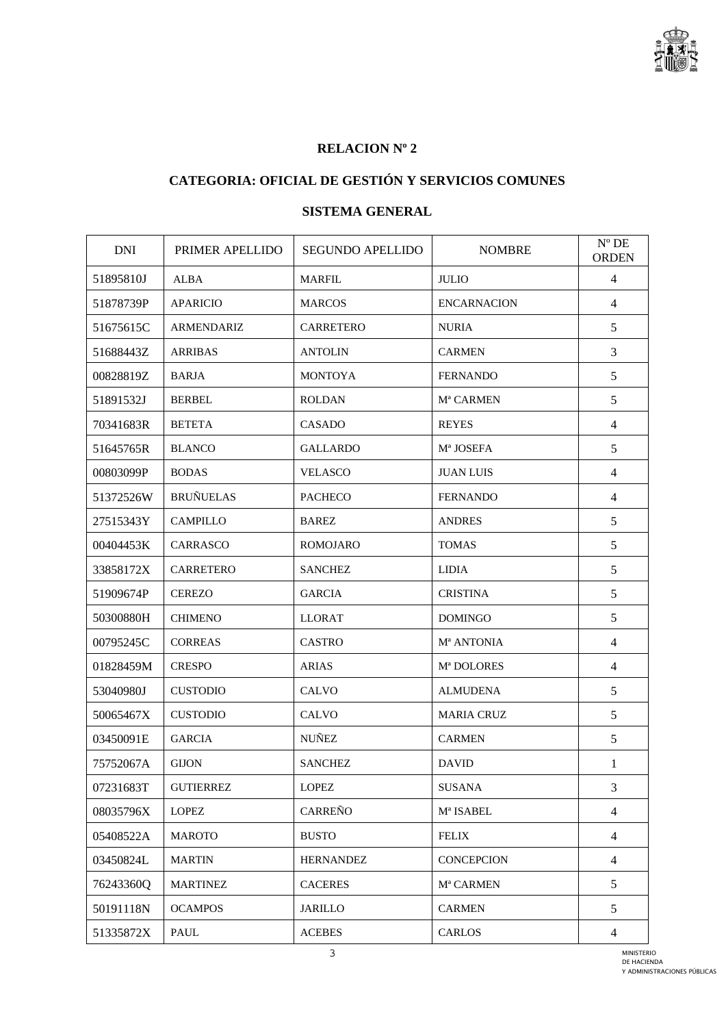

## **RELACION Nº 2**

# **CATEGORIA: OFICIAL DE GESTIÓN Y SERVICIOS COMUNES**

## **SISTEMA GENERAL**

| <b>DNI</b> | PRIMER APELLIDO  | <b>SEGUNDO APELLIDO</b> | <b>NOMBRE</b>                  | $N^{\circ}$ DE<br><b>ORDEN</b> |
|------------|------------------|-------------------------|--------------------------------|--------------------------------|
| 51895810J  | <b>ALBA</b>      | <b>MARFIL</b>           | <b>JULIO</b>                   | $\overline{4}$                 |
| 51878739P  | <b>APARICIO</b>  | <b>MARCOS</b>           | <b>ENCARNACION</b>             | $\overline{4}$                 |
| 51675615C  | ARMENDARIZ       | <b>CARRETERO</b>        | <b>NURIA</b>                   | 5                              |
| 51688443Z  | <b>ARRIBAS</b>   | <b>ANTOLIN</b>          | <b>CARMEN</b>                  | 3                              |
| 00828819Z  | <b>BARJA</b>     | <b>MONTOYA</b>          | <b>FERNANDO</b>                | 5                              |
| 51891532J  | <b>BERBEL</b>    | <b>ROLDAN</b>           | M <sup>a</sup> CARMEN          | 5                              |
| 70341683R  | <b>BETETA</b>    | CASADO                  | <b>REYES</b>                   | $\overline{4}$                 |
| 51645765R  | <b>BLANCO</b>    | <b>GALLARDO</b>         | M <sup>a</sup> JOSEFA          | 5                              |
| 00803099P  | <b>BODAS</b>     | <b>VELASCO</b>          | <b>JUAN LUIS</b>               | $\overline{4}$                 |
| 51372526W  | <b>BRUÑUELAS</b> | <b>PACHECO</b>          | <b>FERNANDO</b>                | $\overline{4}$                 |
| 27515343Y  | <b>CAMPILLO</b>  | <b>BAREZ</b>            | <b>ANDRES</b>                  | 5                              |
| 00404453K  | <b>CARRASCO</b>  | <b>ROMOJARO</b>         | <b>TOMAS</b>                   | 5                              |
| 33858172X  | <b>CARRETERO</b> | <b>SANCHEZ</b>          | <b>LIDIA</b>                   | 5                              |
| 51909674P  | <b>CEREZO</b>    | <b>GARCIA</b>           | <b>CRISTINA</b>                | 5                              |
| 50300880H  | <b>CHIMENO</b>   | <b>LLORAT</b>           | <b>DOMINGO</b>                 | 5                              |
| 00795245C  | <b>CORREAS</b>   | <b>CASTRO</b>           | M <sup>a</sup> ANTONIA         | 4                              |
| 01828459M  | <b>CRESPO</b>    | <b>ARIAS</b>            | M <sup>ª</sup> DOLORES         | $\overline{4}$                 |
| 53040980J  | <b>CUSTODIO</b>  | CALVO                   | ALMUDENA                       | 5                              |
| 50065467X  | <b>CUSTODIO</b>  | <b>CALVO</b>            | <b>MARIA CRUZ</b>              | 5                              |
| 03450091E  | <b>GARCIA</b>    | <b>NUÑEZ</b>            | <b>CARMEN</b>                  | 5                              |
| 75752067A  | <b>GIJON</b>     | <b>SANCHEZ</b>          | <b>DAVID</b>                   | $\mathbf{1}$                   |
| 07231683T  | <b>GUTIERREZ</b> | <b>LOPEZ</b>            | <b>SUSANA</b>                  | 3                              |
| 08035796X  | <b>LOPEZ</b>     | CARREÑO                 | $\mathbf{M}^{\text{a}}$ ISABEL | $\overline{4}$                 |
| 05408522A  | <b>MAROTO</b>    | <b>BUSTO</b>            | <b>FELIX</b>                   | $\overline{4}$                 |
| 03450824L  | <b>MARTIN</b>    | <b>HERNANDEZ</b>        | <b>CONCEPCION</b>              | 4                              |
| 76243360Q  | <b>MARTINEZ</b>  | <b>CACERES</b>          | M <sup>a</sup> CARMEN          | 5                              |
| 50191118N  | <b>OCAMPOS</b>   | <b>JARILLO</b>          | <b>CARMEN</b>                  | 5                              |
| 51335872X  | PAUL             | <b>ACEBES</b>           | CARLOS                         | $\overline{4}$                 |